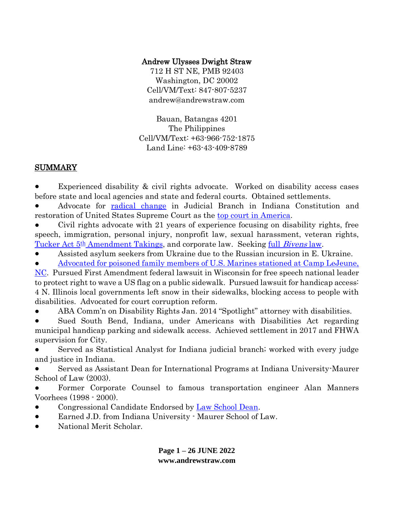## Andrew Ulysses Dwight Straw

712 H ST NE, PMB 92403 Washington, DC 20002 Cell/VM/Text: 847-807-5237 andrew@andrewstraw.com

Bauan, Batangas 4201 The Philippines Cell/VM/Text: +63-966-752-1875 Land Line: +63-43-409-8789

## SUMMARY

Experienced disability & civil rights advocate. Worked on disability access cases before state and local agencies and state and federal courts. Obtained settlements.

● Advocate for [radical change](http://indconst.andrewstraw.com/) in Judicial Branch in Indiana Constitution and restoration of United States Supreme Court as the [top court in America.](http://scotusbill.andrewstraw.com/)

Civil rights advocate with 21 years of experience focusing on disability rights, free speech, immigration, personal injury, nonprofit law, sexual harassment, veteran rights, Tucker Act 5<sup>th</sup> [Amendment Takings,](http://cfc.andrewstraw.com/) and corporate law. Seeking full *[Bivens](http://bivens.andrewstraw.com/)* law.

Assisted asylum seekers from Ukraine due to the Russian incursion in E. Ukraine.

● [Advocated for poisoned family members of U.S. Marines stationed at Camp LeJeune,](http://clfmp.andrewstraw.com/)  [NC.](http://clfmp.andrewstraw.com/) Pursued First Amendment federal lawsuit in Wisconsin for free speech national leader to protect right to wave a US flag on a public sidewalk. Pursued lawsuit for handicap access:

4 N. Illinois local governments left snow in their sidewalks, blocking access to people with disabilities. Advocated for court corruption reform.

ABA Comm'n on Disability Rights Jan. 2014 "Spotlight" attorney with disabilities.

Sued South Bend, Indiana, under Americans with Disabilities Act regarding municipal handicap parking and sidewalk access. Achieved settlement in 2017 and FHWA supervision for City.

Served as Statistical Analyst for Indiana judicial branch; worked with every judge and justice in Indiana.

Served as Assistant Dean for International Programs at Indiana University-Maurer School of Law (2003).

Former Corporate Counsel to famous transportation engineer Alan Manners Voorhees (1998 - 2000).

- Congressional Candidate Endorsed by [Law School Dean.](http://aman.andrewstraw.com/)
- Earned J.D. from Indiana University Maurer School of Law.
- National Merit Scholar.

**Page 1 – 26 JUNE 2022 www.andrewstraw.com**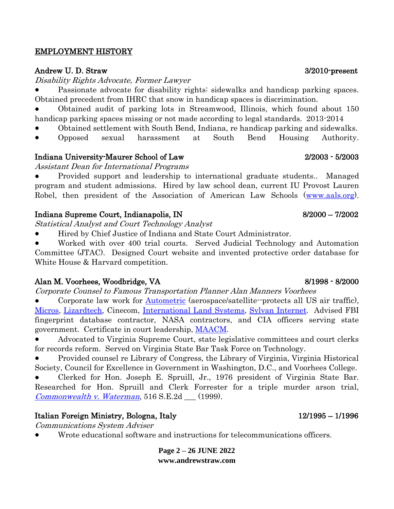#### EMPLOYMENT HISTORY

#### Andrew U. D. Straw 3/2010-present

Disability Rights Advocate, Former Lawyer

Passionate advocate for disability rights: sidewalks and handicap parking spaces. Obtained precedent from IHRC that snow in handicap spaces is discrimination.

Obtained audit of parking lots in Streamwood, Illinois, which found about 150 handicap parking spaces missing or not made according to legal standards. 2013-2014

- Obtained settlement with South Bend, Indiana, re handicap parking and sidewalks.
- Opposed sexual harassment at South Bend Housing Authority.

#### Indiana University-Maurer School of Law 2/2003 - 5/2003

Assistant Dean for International Programs

Provided support and leadership to international graduate students.. Managed program and student admissions. Hired by law school dean, current IU Provost Lauren Robel, then president of the Association of American Law Schools [\(www.aals.org\)](http://www.aals.org/).

#### Indiana Supreme Court, Indianapolis, IN 8/2000 – 7/2002

Statistical Analyst and Court Technology Analyst

Hired by Chief Justice of Indiana and State Court Administrator.

Worked with over 400 trial courts. Served Judicial Technology and Automation Committee (JTAC). Designed Court website and invented protective order database for White House & Harvard competition.

#### Alan M. Voorhees, Woodbridge, VA 8/1998 - 8/2000

Corporate Counsel to Famous Transportation Planner Alan Manners Voorhees

Corporate law work for **Autometric** (aerospace/satellite--protects all US air traffic), [Micros,](http://www.microsnyc.com/) [Lizardtech,](https://www.extensis.com/newsroom/lizardtech-to-launch-geoexpress-10-with-expanded-lidar-functionality-at-geoint-2018) Cinecom, [International Land Systems,](https://www.bizjournals.com/washington/news/2011/01/14/international-land-systems-acquired.html) [Sylvan Internet.](http://sylvaninfo.net/) Advised FBI fingerprint database contractor, NASA contractors, and CIA officers serving state government. Certificate in court leadership, [MAACM.](https://www.maacm.org/)

Advocated to Virginia Supreme Court, state legislative committees and court clerks for records reform. Served on Virginia State Bar Task Force on Technology.

● Provided counsel re Library of Congress, the Library of Virginia, Virginia Historical Society, Council for Excellence in Government in Washington, D.C., and Voorhees College.

● Clerked for Hon. Joseph E. Spruill, Jr., 1976 president of Virginia State Bar. Researched for Hon. Spruill and Clerk Forrester for a triple murder arson trial,  $Commonwealth v. Waterman, 516 S.E.2d$  $Commonwealth v. Waterman, 516 S.E.2d$  (1999).

## Italian Foreign Ministry, Bologna, Italy 12/1995 – 1/1996

Communications System Adviser

Wrote educational software and instructions for telecommunications officers.

**Page 2 – 26 JUNE 2022 www.andrewstraw.com**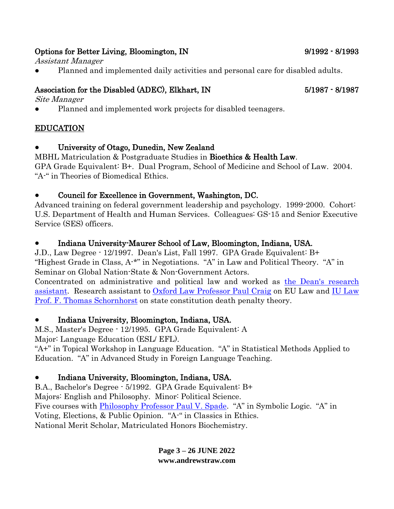## Options for Better Living, Bloomington, IN 9/1992 - 8/1993

Assistant Manager

Planned and implemented daily activities and personal care for disabled adults.

## Association for the Disabled (ADEC), Elkhart, IN 5/1987 - 8/1987

Site Manager

Planned and implemented work projects for disabled teenagers.

# EDUCATION

University of Otago, Dunedin, New Zealand

MBHL Matriculation & Postgraduate Studies in Bioethics & Health Law.

GPA Grade Equivalent: B+. Dual Program, School of Medicine and School of Law. 2004. "A-" in Theories of Biomedical Ethics.

# ● Council for Excellence in Government, Washington, DC.

Advanced training on federal government leadership and psychology. 1999-2000. Cohort: U.S. Department of Health and Human Services. Colleagues: GS-15 and Senior Executive Service (SES) officers.

# Indiana University-Maurer School of Law, Bloomington, Indiana, USA.

J.D., Law Degree - 12/1997. Dean's List, Fall 1997. GPA Grade Equivalent: B+ "Highest Grade in Class, A-\*" in Negotiations. "A" in Law and Political Theory. "A" in Seminar on Global Nation-State & Non-Government Actors.

Concentrated on administrative and political law and worked as [the Dean's research](https://www.law.indiana.edu/about/people/details/aman-alfred-c.html)  [assistant.](https://www.law.indiana.edu/about/people/details/aman-alfred-c.html) Research assistant to [Oxford Law Professor Paul Craig](https://www.ox.ac.uk/news-and-events/find-an-expert/professor-paul-craig) on EU Law and [IU Law](https://honorsandawards.iu.edu/awards/honoree/2529.html)  [Prof. F. Thomas Schornhorst](https://honorsandawards.iu.edu/awards/honoree/2529.html) on state constitution death penalty theory.

# ● Indiana University, Bloomington, Indiana, USA.

M.S., Master's Degree - 12/1995. GPA Grade Equivalent: A Major: Language Education (ESL/ EFL).

"A+" in Topical Workshop in Language Education. "A" in Statistical Methods Applied to Education. "A" in Advanced Study in Foreign Language Teaching.

# ● Indiana University, Bloomington, Indiana, USA.

B.A., Bachelor's Degree - 5/1992. GPA Grade Equivalent: B+ Majors: English and Philosophy. Minor: Political Science. Five courses with **Philosophy Professor Paul V. Spade.** "A" in Symbolic Logic. "A" in Voting, Elections, & Public Opinion. "A-" in Classics in Ethics. National Merit Scholar, Matriculated Honors Biochemistry.

> **Page 3 – 26 JUNE 2022 www.andrewstraw.com**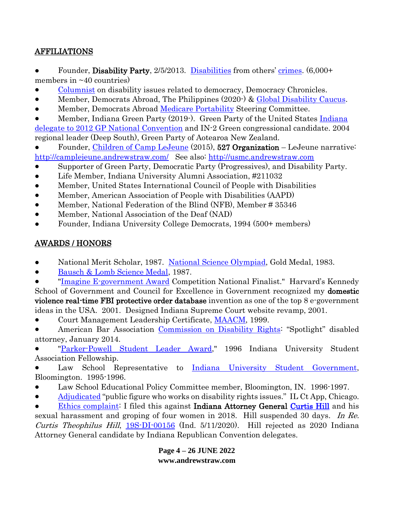## AFFILIATIONS

- Founder, Disability Party, 2/5/2013. [Disabilities](http://disability.andrewstraw.com/) from others' [crimes.](http://crimes.andrewstraw.com/) (6,000+ members in  $~10$  countries)
- [Columnist](https://democracychronicles.org/author/andrew-straw/) on disability issues related to democracy, Democracy Chronicles.
- Member, Democrats Abroad, The Philippines (2020-)  $\&$  [Global Disability Caucus.](https://www.democratsabroad.org/dc)
- Member, Democrats Abroad [Medicare Portability](https://www.democratsabroad.org/mptf) Steering Committee.
- Member, [Indiana](https://www.c-span.org/video/?c4494621/delegate-indiana) Green Party (2019-). Green Party of the United States Indiana [delegate to 2012 GP National Convention](https://www.c-span.org/video/?c4494621/delegate-indiana) and IN-2 Green congressional candidate. 2004 regional leader (Deep South), Green Party of Aotearoa New Zealand.
- Founder, [Children of Camp LeJeune](https://www.facebook.com/groups/1559301481023069/) (2015), 527 Organization LeJeune narrative: <http://camplejeune.andrewstraw.com/> See also: [http://usmc.andrewstraw.com](http://usmc.andrewstraw.com/)
- Supporter of Green Party, Democratic Party (Progressives), and Disability Party.
- Life Member, Indiana University Alumni Association, #211032
- Member, United States International Council of People with Disabilities
- Member, American Association of People with Disabilities (AAPD)
- Member, National Federation of the Blind (NFB), Member # 35346
- Member, National Association of the Deaf (NAD)
- Founder, Indiana University College Democrats, 1994 (500+ members)

# AWARDS / HONORS

- National Merit Scholar, 1987. [National Science Olympiad,](https://www.soinc.org/) Gold Medal, 1983.
- [Bausch & Lomb Science Medal,](https://www.bausch.com/our-company/community-relationships/science-award-and-scholarships) 1987.
- ["Imagine E-government Award](https://fcw.com/articles/2001/07/23/jury-system-takes-egov-prize.aspx) Competition National Finalist." Harvard's Kennedy School of Government and Council for Excellence in Government recognized my **domestic** violence real-time FBI protective order database invention as one of the top 8 e-government ideas in the USA. 2001. Designed Indiana Supreme Court website revamp, 2001.
- Court Management Leadership Certificate, [MAACM,](https://drive.google.com/file/d/0B7fESKZS9PWmYThDc0w0eFk2cGs/view?usp=sharing&resourcekey=0-dOO41t_51DRBtgxVUD7uJw) 1999.
- American Bar Association [Commission on Disability Rights](https://www.americanbar.org/groups/diversity/disabilityrights/initiatives_awards/spotlight/straw_a/): "Spotlight" disabled attorney, January 2014.
- ["Parker-Powell Student Leader Award,](https://drive.google.com/file/d/1jA9R-b2CIMKDTvkupYo1Ul-V-m1MVUC2/view?usp=sharing)" 1996 Indiana University Student Association Fellowship.
- Law School Representative to [Indiana University Student Government,](https://iustudentgovernment.indiana.edu/about/index.html) Bloomington. 1995-1996.
- Law School Educational Policy Committee member, Bloomington, IN. 1996-1997.
- [Adjudicated](https://www.illinoiscourts.gov/resources/64fcb39e-0c9a-4941-bf18-df6491c857f3/1143094_R23.pdf) "public figure who works on disability rights issues." IL Ct App, Chicago.

**[Ethics complaint:](https://www.goshennews.com/news/local_news/suspended-attorney-formerly-of-goshen-filed-complaint-against-ag-hill/article_5389e2a5-2b0d-532b-8e57-f601f7cbe6ca.html)** I filed this against **Indiana Attorney General [Curtis Hill](https://www.indystar.com/story/news/politics/2019/03/26/indiana-attorney-general-curtis-hill-complainant-has-ax-to-grind/3266485002/)** and his sexual harassment and groping of four women in 2018. Hill suspended 30 days. In Re. Curtis Theophilus Hill, [19S-DI-00156](https://www.courthousenews.com/wp-content/uploads/2020/05/indiana-ag.pdf) (Ind. 5/11/2020). Hill rejected as 2020 Indiana Attorney General candidate by Indiana Republican Convention delegates.

> **Page 4 – 26 JUNE 2022 www.andrewstraw.com**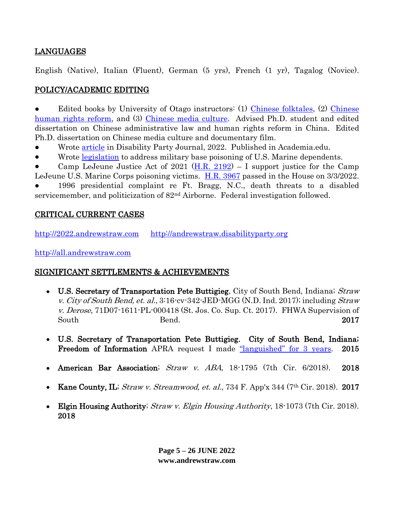## LANGUAGES

English (Native), Italian (Fluent), German (5 yrs), French (1 yr), Tagalog (Novice).

## POLICY/ACADEMIC EDITING

Edited books by University of Otago instructors: (1) [Chinese folktales,](https://www.amazon.ca/Classical-Chinese-Supernatural-Fiction-Morphological/dp/0773460977) (2) Chinese [human rights reform,](https://www.amazon.ca/Legal-Reform-Versus-Peoples-Republic/dp/0773448942/ref=sr_1_1?dchild=1&keywords=Jiefen+Li+rule+by+law&qid=1634808814&s=gift-cards&sr=1-1) and (3) [Chinese media culture.](https://www.amazon.ca/China-Video-Asias-Transformations-2012-10-01/dp/B01K0RJHV0/ref=sr_1_1?dchild=1&keywords=china+on+video+paola+voci&qid=1634808869&s=gift-cards&sr=1-1) Advised Ph.D. student and edited dissertation on Chinese administrative law and human rights reform in China. Edited Ph.D. dissertation on Chinese media culture and documentary film.

- Wrote [article](https://www.academia.edu/63734137/Disability_Law_Reform_Awakens_the_Beast_Court_Corruption_and_Retaliation) in Disability Party Journal, 2022. Published in Academia.edu.
- Wrote [legislation](https://www.youtube.com/watch?v=MKojwUm0qwk) to address military base poisoning of U.S. Marine dependents.
- Camp LeJeune Justice Act of 2021 [\(H.R. 2192\)](https://www.congress.gov/bill/117th-congress/house-bill/2192?s=1&r=81) I support justice for the Camp

LeJeune U.S. Marine Corps poisoning victims. [H.R.](https://www.congress.gov/bill/117th-congress/house-bill/3967/text) 3967 passed in the House on 3/3/2022. 1996 presidential complaint re Ft. Bragg, N.C., death threats to a disabled servicemember, and politicization of 82nd Airborne. Federal investigation followed.

### CRITICAL CURRENT CASES

[http://2022.andrewstraw.com](http://2022.andrewstraw.com/) [http://andrewstraw.disabilityparty.org](http://andrewstraw.disabilityparty.org/)

[http://all.andrewstraw.com](http://all.andrewstraw.com/)

#### SIGNIFICANT SETTLEMENTS & ACHIEVEMENTS

- U.S. Secretary of Transportation Pete Buttigieg. City of South Bend, Indiana; Straw v. City of South Bend, et. al.,  $3:16$ -cv- $342$ -JED-MGG (N.D. Ind. 2017); including Straw v. Derose,  $71D07-1611-PL-000418$  (St. Jos. Co. Sup. Ct. 2017). FHWA Supervision of South Bend. 2017
- U.S. Secretary of Transportation Pete Buttigieg. City of South Bend, Indiana; Freedom of Information APRA request I made ["languished" for 3 y](https://www.washingtontimes.com/news/2015/jun/3/south-bend-criticized-for-late-response-to-records/)ears. 2015
- American Bar Association; Straw v. ABA, 18-1795 (7th Cir. 6/2018). 2018
- Kane County, IL; Straw v. Streamwood, et. al., 734 F. App'x 344 (7<sup>th</sup> Cir. 2018). 2017
- Elgin Housing Authority;  $Straw$  v. Elgin Housing Authority, 18-1073 (7th Cir. 2018). 2018

**Page 5 – 26 JUNE 2022 www.andrewstraw.com**